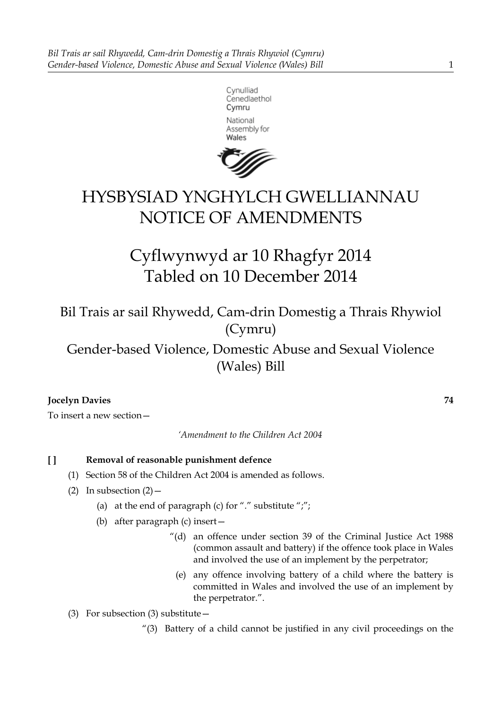



# HYSBYSIAD YNGHYLCH GWELLIANNAU NOTICE OF AMENDMENTS

Cyflwynwyd ar 10 Rhagfyr 2014 Tabled on 10 December 2014

Bil Trais ar sail Rhywedd, Cam-drin Domestig a Thrais Rhywiol (Cymru)

Gender-based Violence, Domestic Abuse and Sexual Violence (Wales) Bill

# **Jocelyn Davies 74**

To insert a new section—

*'Amendment to the Children Act 2004*

# **[ ] Removal of reasonable punishment defence**

- (1) Section 58 of the Children Act 2004 is amended as follows.
- (2) In subsection  $(2)$ 
	- (a) at the end of paragraph (c) for "." substitute ";";
	- (b) after paragraph (c) insert—
		- "(d) an offence under section 39 of the Criminal Justice Act 1988 (common assault and battery) if the offence took place in Wales and involved the use of an implement by the perpetrator;
			- (e) any offence involving battery of a child where the battery is committed in Wales and involved the use of an implement by the perpetrator.".
- (3) For subsection (3) substitute—
	- "(3) Battery of a child cannot be justified in any civil proceedings on the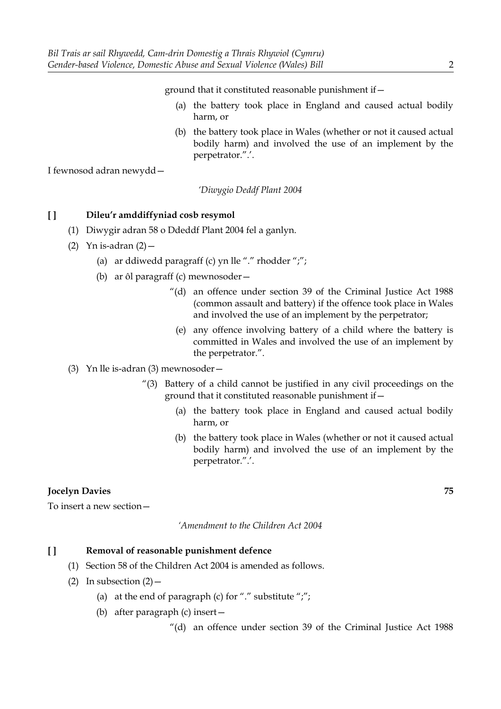ground that it constituted reasonable punishment if—

- (a) the battery took place in England and caused actual bodily harm, or
- (b) the battery took place in Wales (whether or not it caused actual bodily harm) and involved the use of an implement by the perpetrator.".'.

I fewnosod adran newydd—

*'Diwygio Deddf Plant 2004*

#### **[ ] Dileu'r amddiffyniad cosb resymol**

- (1) Diwygir adran 58 o Ddeddf Plant 2004 fel a ganlyn.
- (2) Yn is-adran  $(2)$  -
	- (a) ar ddiwedd paragraff (c) yn lle "." rhodder ";";
	- (b) ar ôl paragraff (c) mewnosoder—
		- "(d) an offence under section 39 of the Criminal Justice Act 1988 (common assault and battery) if the offence took place in Wales and involved the use of an implement by the perpetrator;
			- (e) any offence involving battery of a child where the battery is committed in Wales and involved the use of an implement by the perpetrator.".
- (3) Yn lle is-adran (3) mewnosoder—
	- "(3) Battery of a child cannot be justified in any civil proceedings on the ground that it constituted reasonable punishment if—
		- (a) the battery took place in England and caused actual bodily harm, or
		- (b) the battery took place in Wales (whether or not it caused actual bodily harm) and involved the use of an implement by the perpetrator.".'.

## **Jocelyn Davies 75**

To insert a new section—

*'Amendment to the Children Act 2004*

#### **[ ] Removal of reasonable punishment defence**

- (1) Section 58 of the Children Act 2004 is amended as follows.
- (2) In subsection  $(2)$ 
	- (a) at the end of paragraph (c) for "." substitute ";";
	- (b) after paragraph (c) insert—

"(d) an offence under section 39 of the Criminal Justice Act 1988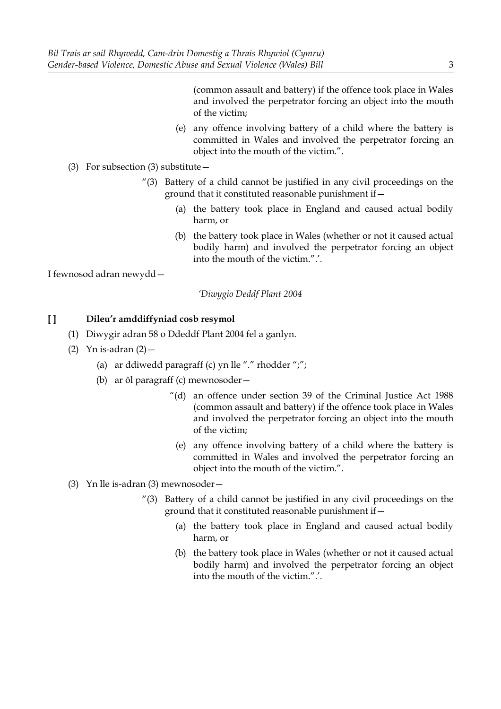(common assault and battery) if the offence took place in Wales and involved the perpetrator forcing an object into the mouth of the victim;

- (e) any offence involving battery of a child where the battery is committed in Wales and involved the perpetrator forcing an object into the mouth of the victim.".
- (3) For subsection (3) substitute—
	- "(3) Battery of a child cannot be justified in any civil proceedings on the ground that it constituted reasonable punishment if—
		- (a) the battery took place in England and caused actual bodily harm, or
		- (b) the battery took place in Wales (whether or not it caused actual bodily harm) and involved the perpetrator forcing an object into the mouth of the victim.".'.

I fewnosod adran newydd—

*'Diwygio Deddf Plant 2004*

- (1) Diwygir adran 58 o Ddeddf Plant 2004 fel a ganlyn.
- (2) Yn is-adran  $(2)$  -
	- (a) ar ddiwedd paragraff (c) yn lle "." rhodder ";";
	- (b) ar ôl paragraff (c) mewnosoder—
		- "(d) an offence under section 39 of the Criminal Justice Act 1988 (common assault and battery) if the offence took place in Wales and involved the perpetrator forcing an object into the mouth of the victim;
			- (e) any offence involving battery of a child where the battery is committed in Wales and involved the perpetrator forcing an object into the mouth of the victim.".
- (3) Yn lle is-adran (3) mewnosoder—
	- $^{\prime\prime}$ (3) Battery of a child cannot be justified in any civil proceedings on the ground that it constituted reasonable punishment if—
		- (a) the battery took place in England and caused actual bodily harm, or
		- (b) the battery took place in Wales (whether or not it caused actual bodily harm) and involved the perpetrator forcing an object into the mouth of the victim.".'.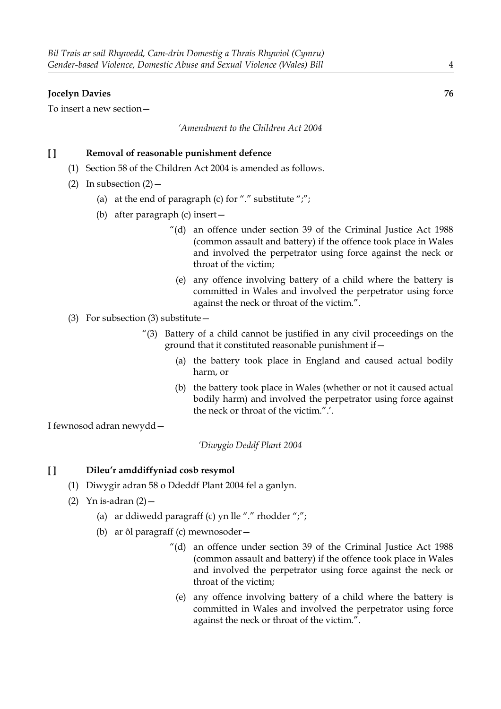## **Jocelyn Davies 76**

To insert a new section—

#### *'Amendment to the Children Act 2004*

## **[ ] Removal of reasonable punishment defence**

- (1) Section 58 of the Children Act 2004 is amended as follows.
- (2) In subsection  $(2)$  -
	- (a) at the end of paragraph (c) for "." substitute ";";
	- (b) after paragraph (c) insert—
		- "(d) an offence under section 39 of the Criminal Justice Act 1988 (common assault and battery) if the offence took place in Wales and involved the perpetrator using force against the neck or throat of the victim;
			- (e) any offence involving battery of a child where the battery is committed in Wales and involved the perpetrator using force against the neck or throat of the victim.".
- (3) For subsection (3) substitute—
	- "(3) Battery of a child cannot be justified in any civil proceedings on the ground that it constituted reasonable punishment if—
		- (a) the battery took place in England and caused actual bodily harm, or
		- (b) the battery took place in Wales (whether or not it caused actual bodily harm) and involved the perpetrator using force against the neck or throat of the victim.".'.

I fewnosod adran newydd—

*'Diwygio Deddf Plant 2004*

- (1) Diwygir adran 58 o Ddeddf Plant 2004 fel a ganlyn.
- (2) Yn is-adran  $(2)$  -
	- (a) ar ddiwedd paragraff (c) yn lle "." rhodder ";";
	- (b) ar ôl paragraff (c) mewnosoder—
		- "(d) an offence under section 39 of the Criminal Justice Act 1988 (common assault and battery) if the offence took place in Wales and involved the perpetrator using force against the neck or throat of the victim;
			- (e) any offence involving battery of a child where the battery is committed in Wales and involved the perpetrator using force against the neck or throat of the victim.".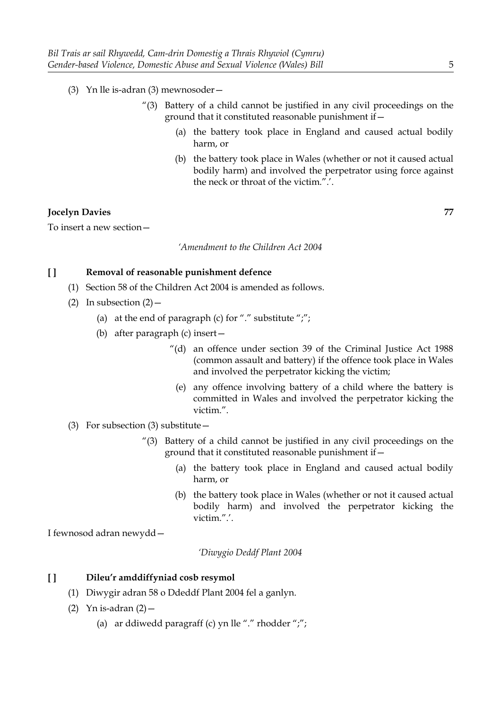- (3) Yn lle is-adran (3) mewnosoder—
	- "(3) Battery of a child cannot be justified in any civil proceedings on the ground that it constituted reasonable punishment if—
		- (a) the battery took place in England and caused actual bodily harm, or
		- (b) the battery took place in Wales (whether or not it caused actual bodily harm) and involved the perpetrator using force against the neck or throat of the victim.".'.

## **Jocelyn Davies 77**

To insert a new section—

*'Amendment to the Children Act 2004*

#### **[ ] Removal of reasonable punishment defence**

- (1) Section 58 of the Children Act 2004 is amended as follows.
- (2) In subsection  $(2)$ 
	- (a) at the end of paragraph (c) for "." substitute ";";
	- (b) after paragraph (c) insert—
		- "(d) an offence under section 39 of the Criminal Justice Act 1988 (common assault and battery) if the offence took place in Wales and involved the perpetrator kicking the victim;
			- (e) any offence involving battery of a child where the battery is committed in Wales and involved the perpetrator kicking the victim.".
- (3) For subsection (3) substitute—
	- "(3) Battery of a child cannot be justified in any civil proceedings on the ground that it constituted reasonable punishment if—
		- (a) the battery took place in England and caused actual bodily harm, or
		- (b) the battery took place in Wales (whether or not it caused actual bodily harm) and involved the perpetrator kicking the victim.".'.

I fewnosod adran newydd—

*'Diwygio Deddf Plant 2004*

- (1) Diwygir adran 58 o Ddeddf Plant 2004 fel a ganlyn.
- (2) Yn is-adran  $(2)$  -
	- (a) ar ddiwedd paragraff (c) yn lle "." rhodder ";";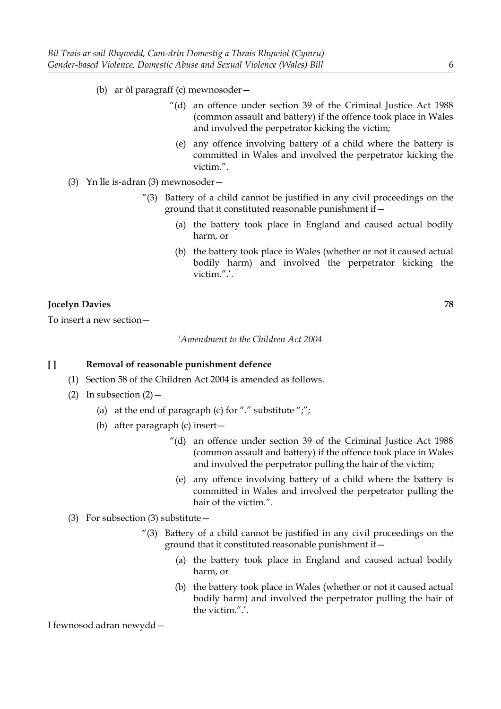- (b) ar ôl paragraff (c) mewnosoder—
	- "(d) an offence under section 39 of the Criminal Justice Act 1988 (common assault and battery) if the offence took place in Wales and involved the perpetrator kicking the victim;
		- (e) any offence involving battery of a child where the battery is committed in Wales and involved the perpetrator kicking the victim.".
- (3) Yn lle is-adran (3) mewnosoder—
	- "(3) Battery of a child cannot be justified in any civil proceedings on the ground that it constituted reasonable punishment if—
		- (a) the battery took place in England and caused actual bodily harm, or
		- (b) the battery took place in Wales (whether or not it caused actual bodily harm) and involved the perpetrator kicking the victim.".'.

#### **Jocelyn Davies 78**

To insert a new section—

*'Amendment to the Children Act 2004*

#### **[ ] Removal of reasonable punishment defence**

- (1) Section 58 of the Children Act 2004 is amended as follows.
- (2) In subsection  $(2)$ 
	- (a) at the end of paragraph (c) for "." substitute ";";
	- (b) after paragraph (c) insert—
		- "(d) an offence under section 39 of the Criminal Justice Act 1988 (common assault and battery) if the offence took place in Wales and involved the perpetrator pulling the hair of the victim;
			- (e) any offence involving battery of a child where the battery is committed in Wales and involved the perpetrator pulling the hair of the victim.".

#### (3) For subsection (3) substitute—

- "(3) Battery of a child cannot be justified in any civil proceedings on the ground that it constituted reasonable punishment if—
	- (a) the battery took place in England and caused actual bodily harm, or
	- (b) the battery took place in Wales (whether or not it caused actual bodily harm) and involved the perpetrator pulling the hair of the victim.".'.

I fewnosod adran newydd—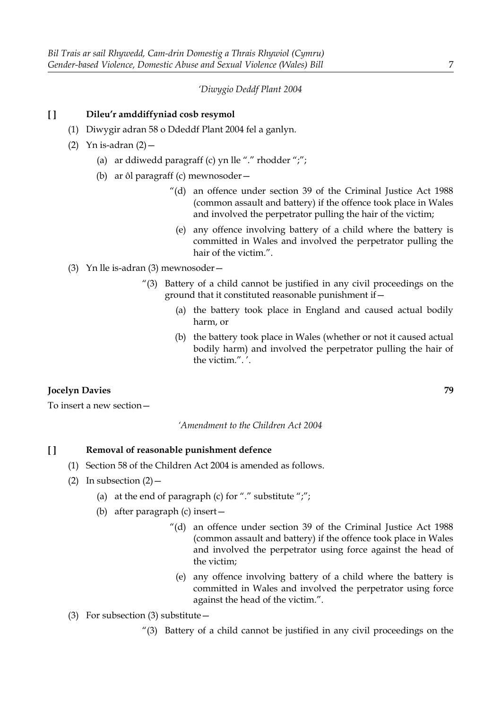#### *'Diwygio Deddf Plant 2004*

#### **[ ] Dileu'r amddiffyniad cosb resymol**

- (1) Diwygir adran 58 o Ddeddf Plant 2004 fel a ganlyn.
- (2) Yn is-adran  $(2)$  -
	- (a) ar ddiwedd paragraff (c) yn lle "." rhodder ";";
	- (b) ar ôl paragraff (c) mewnosoder—
		- "(d) an offence under section 39 of the Criminal Justice Act 1988 (common assault and battery) if the offence took place in Wales and involved the perpetrator pulling the hair of the victim;
			- (e) any offence involving battery of a child where the battery is committed in Wales and involved the perpetrator pulling the hair of the victim.".
- (3) Yn lle is-adran (3) mewnosoder—
	- "(3) Battery of a child cannot be justified in any civil proceedings on the ground that it constituted reasonable punishment if—
		- (a) the battery took place in England and caused actual bodily harm, or
		- (b) the battery took place in Wales (whether or not it caused actual bodily harm) and involved the perpetrator pulling the hair of the victim.". '.

#### **Jocelyn Davies 79**

To insert a new section—

*'Amendment to the Children Act 2004*

#### **[ ] Removal of reasonable punishment defence**

- (1) Section 58 of the Children Act 2004 is amended as follows.
- (2) In subsection  $(2)$ 
	- (a) at the end of paragraph (c) for "." substitute ";";
	- (b) after paragraph (c) insert—
		- "(d) an offence under section 39 of the Criminal Justice Act 1988 (common assault and battery) if the offence took place in Wales and involved the perpetrator using force against the head of the victim;
			- (e) any offence involving battery of a child where the battery is committed in Wales and involved the perpetrator using force against the head of the victim.".
- (3) For subsection (3) substitute—
	- "(3) Battery of a child cannot be justified in any civil proceedings on the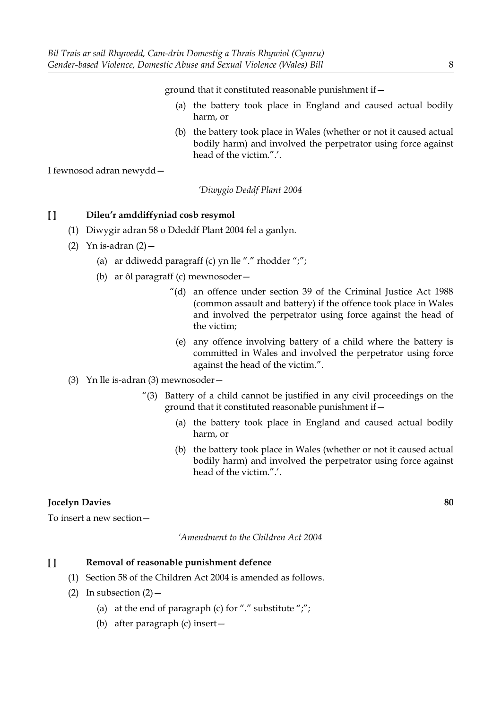ground that it constituted reasonable punishment if—

- (a) the battery took place in England and caused actual bodily harm, or
- (b) the battery took place in Wales (whether or not it caused actual bodily harm) and involved the perpetrator using force against head of the victim.".'.

I fewnosod adran newydd—

*'Diwygio Deddf Plant 2004*

## **[ ] Dileu'r amddiffyniad cosb resymol**

- (1) Diwygir adran 58 o Ddeddf Plant 2004 fel a ganlyn.
- (2) Yn is-adran  $(2)$  -
	- (a) ar ddiwedd paragraff (c) yn lle "." rhodder ";";
	- (b) ar ôl paragraff (c) mewnosoder—
		- "(d) an offence under section 39 of the Criminal Justice Act 1988 (common assault and battery) if the offence took place in Wales and involved the perpetrator using force against the head of the victim;
			- (e) any offence involving battery of a child where the battery is committed in Wales and involved the perpetrator using force against the head of the victim.".
- (3) Yn lle is-adran (3) mewnosoder—
	- "(3) Battery of a child cannot be justified in any civil proceedings on the ground that it constituted reasonable punishment if—
		- (a) the battery took place in England and caused actual bodily harm, or
		- (b) the battery took place in Wales (whether or not it caused actual bodily harm) and involved the perpetrator using force against head of the victim.".'.

## **Jocelyn Davies 80**

To insert a new section—

*'Amendment to the Children Act 2004*

## **[ ] Removal of reasonable punishment defence**

- (1) Section 58 of the Children Act 2004 is amended as follows.
- (2) In subsection  $(2)$ 
	- (a) at the end of paragraph (c) for "." substitute ";";
	- (b) after paragraph (c) insert—